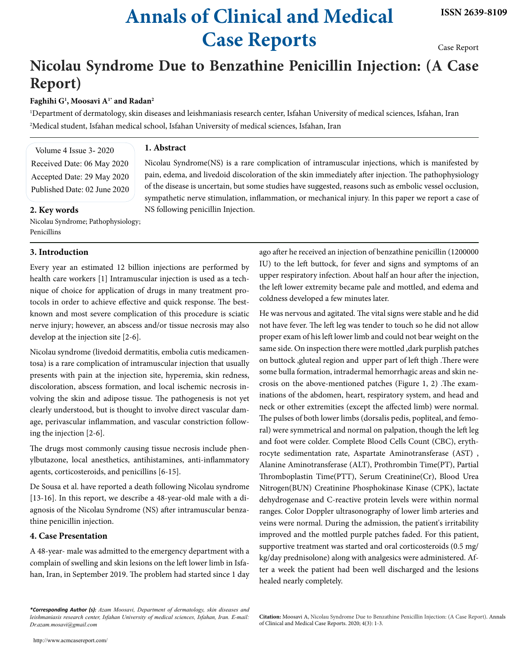# **Annals of Clinical and Medical Case Reports**

Case Report

# **Nicolau Syndrome Due to Benzathine Penicillin Injection: (A Case Report)**

### **Faghihi G1 , Moosavi A1\* and Radan2**

1 Department of dermatology, skin diseases and leishmaniasis research center, Isfahan University of medical sciences, Isfahan, Iran 2 Medical student, Isfahan medical school, Isfahan University of medical sciences, Isfahan, Iran

Volume 4 Issue 3- 2020 Received Date: 06 May 2020 Accepted Date: 29 May 2020 Published Date: 02 June 2020

## **2. Key words**

Nicolau Syndrome; Pathophysiology; Penicillins

#### **3. Introduction**

Every year an estimated 12 billion injections are performed by health care workers [1] Intramuscular injection is used as a technique of choice for application of drugs in many treatment protocols in order to achieve effective and quick response. The bestknown and most severe complication of this procedure is sciatic nerve injury; however, an abscess and/or tissue necrosis may also develop at the injection site [2-6].

Nicolau syndrome (livedoid dermatitis, embolia cutis medicamentosa) is a rare complication of intramuscular injection that usually presents with pain at the injection site, hyperemia, skin redness, discoloration, abscess formation, and local ischemic necrosis involving the skin and adipose tissue. The pathogenesis is not yet clearly understood, but is thought to involve direct vascular damage, perivascular inflammation, and vascular constriction following the injection [2-6].

The drugs most commonly causing tissue necrosis include phenylbutazone, local anesthetics, antihistamines, anti-inflammatory agents, corticosteroids, and penicillins [6-15].

De Sousa et al. have reported a death following Nicolau syndrome [13-16]. In this report, we describe a 48-year-old male with a diagnosis of the Nicolau Syndrome (NS) after intramuscular benzathine penicillin injection.

#### **4. Case Presentation**

A 48-year- male was admitted to the emergency department with a complain of swelling and skin lesions on the left lower limb in Isfahan, Iran, in September 2019. The problem had started since 1 day

#### **1. Abstract**

Nicolau Syndrome(NS) is a rare complication of intramuscular injections, which is manifested by pain, edema, and livedoid discoloration of the skin immediately after injection. The pathophysiology of the disease is uncertain, but some studies have suggested, reasons such as embolic vessel occlusion, sympathetic nerve stimulation, inflammation, or mechanical injury. In this paper we report a case of NS following penicillin Injection.

> ago after he received an injection of benzathine penicillin (1200000 IU) to the left buttock, for fever and signs and symptoms of an upper respiratory infection. About half an hour after the injection, the left lower extremity became pale and mottled, and edema and coldness developed a few minutes later.

> He was nervous and agitated. The vital signs were stable and he did not have fever. The left leg was tender to touch so he did not allow proper exam of his left lower limb and could not bear weight on the same side. On inspection there were mottled ,dark purplish patches on buttock ,gluteal region and upper part of left thigh .There were some bulla formation, intradermal hemorrhagic areas and skin necrosis on the above-mentioned patches (Figure 1, 2) .The examinations of the abdomen, heart, respiratory system, and head and neck or other extremities (except the affected limb) were normal. The pulses of both lower limbs (dorsalis pedis, popliteal, and femoral) were symmetrical and normal on palpation, though the left leg and foot were colder. Complete Blood Cells Count (CBC), erythrocyte sedimentation rate, Aspartate Aminotransferase (AST) , Alanine Aminotransferase (ALT), Prothrombin Time(PT), Partial Thromboplastin Time(PTT), Serum Creatinine(Cr), Blood Urea Nitrogen(BUN) Creatinine Phosphokinase Kinase (CPK), lactate dehydrogenase and C-reactive protein levels were within normal ranges. Color Doppler ultrasonography of lower limb arteries and veins were normal. During the admission, the patient's irritability improved and the mottled purple patches faded. For this patient, supportive treatment was started and oral corticosteroids (0.5 mg/ kg/day prednisolone) along with analgesics were administered. After a week the patient had been well discharged and the lesions healed nearly completely.

**Citation:** Moosavi A, Nicolau Syndrome Due to Benzathine Penicillin Injection: (A Case Report). Annals of Clinical and Medical Case Reports. 2020; 4(3): 1-3.

*<sup>\*</sup>Corresponding Author (s): Azam Moosavi, Department of dermatology, skin diseases and leishmaniasis research center, Isfahan University of medical sciences, Isfahan, Iran. E-mail: Dr.azam.mosavi@gmail.com*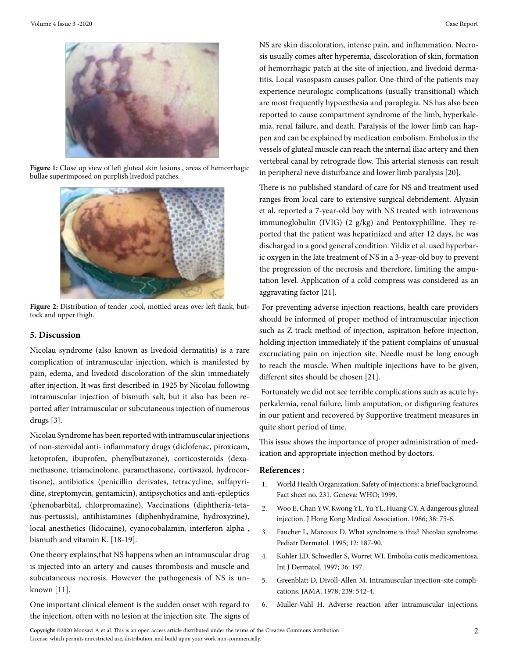

**Figure 1:** Close up view of left gluteal skin lesions , areas of hemorrhagic bullae superimposed on purplish livedoid patches.



Figure 2: Distribution of tender ,cool, mottled areas over left flank, buttock and upper thigh.

#### **5. Discussion**

Nicolau syndrome (also known as livedoid dermatitis) is a rare complication of intramuscular injection, which is manifested by pain, edema, and livedoid discoloration of the skin immediately after injection. It was first described in 1925 by Nicolau following intramuscular injection of bismuth salt, but it also has been reported after intramuscular or subcutaneous injection of numerous drugs [3].

Nicolau Syndrome has been reported with intramuscular injections of non-steroidal anti- inflammatory drugs (diclofenac, piroxicam, ketoprofen, ibuprofen, phenylbutazone), corticosteroids (dexamethasone, triamcinolone, paramethasone, cortivazol, hydrocortisone), antibiotics (penicillin derivates, tetracycline, sulfapyridine, streptomycin, gentamicin), antipsychotics and anti-epileptics (phenobarbital, chlorpromazine), Vaccinations (diphtheria-tetanus-pertussis), antihistamines (diphenhydramine, hydroxyzine), local anesthetics (lidocaine), cyanocobalamin, interferon alpha , bismuth and vitamin K. [18-19].

One theory explains,that NS happens when an intramuscular drug is injected into an artery and causes thrombosis and muscle and subcutaneous necrosis. However the pathogenesis of NS is unknown [11].

One important clinical element is the sudden onset with regard to the injection, often with no lesion at the injection site. The signs of NS are skin discoloration, intense pain, and inflammation. Necrosis usually comes after hyperemia, discoloration of skin, formation of hemorrhagic patch at the site of injection, and livedoid dermatitis. Local vasospasm causes pallor. One-third of the patients may experience neurologic complications (usually transitional) which are most frequently hypoesthesia and paraplegia. NS has also been reported to cause compartment syndrome of the limb, hyperkalemia, renal failure, and death. Paralysis of the lower limb can happen and can be explained by medication embolism. Embolus in the vessels of gluteal muscle can reach the internal iliac artery and then vertebral canal by retrograde flow. This arterial stenosis can result in peripheral neve disturbance and lower limb paralysis [20].

There is no published standard of care for NS and treatment used ranges from local care to extensive surgical debridement. Alyasin et al. reported a 7-year-old boy with NS treated with intravenous immunoglobulin (IVIG) (2 g/kg) and Pentoxyphilline. They reported that the patient was heparinized and after 12 days, he was discharged in a good general condition. Yildiz et al. used hyperbaric oxygen in the late treatment of NS in a 3-year-old boy to prevent the progression of the necrosis and therefore, limiting the amputation level. Application of a cold compress was considered as an aggravating factor [21].

 For preventing adverse injection reactions, health care providers should be informed of proper method of intramuscular injection such as Z-track method of injection, aspiration before injection, holding injection immediately if the patient complains of unusual excruciating pain on injection site. Needle must be long enough to reach the muscle. When multiple injections have to be given, different sites should be chosen [21].

 Fortunately we did not see terrible complications such as acute hyperkalemia, renal failure, limb amputation, or disfiguring features in our patient and recovered by Supportive treatment measures in quite short period of time.

This issue shows the importance of proper administration of medication and appropriate injection method by doctors.

#### **References :**

- 1. World Health Organization. Safety of injections: a brief background. Fact sheet no. 231. Geneva: WHO; 1999.
- 2. [Woo E, Chan YW, Kwong YL, Yu YL, Huang CY. A dangerous gluteal](https://core.ac.uk/display/37981535) [injection. J Hong Kong Medical Association. 1986; 38: 75-6.](https://core.ac.uk/display/37981535)
- 3. [Faucher L, Marcoux D. What syndrome is this? Nicolau syndrome.](https://pubmed.ncbi.nlm.nih.gov/7659650/) [Pediatr Dermatol. 1995; 12: 187-90.](https://pubmed.ncbi.nlm.nih.gov/7659650/)
- 4. [Kohler LD, Schwedler S, Worret WI. Embolia cutis medicamentosa.](https://link.springer.com/article/10.2165/00044011-200525070-00007)  [Int J Dermatol. 1997; 36: 197.](https://link.springer.com/article/10.2165/00044011-200525070-00007)
- 5. [Greenblatt D, Divoll-Allen M. Intramuscular injection-site compli](https://jamanetwork.com/journals/jama/article-abstract/360782)[cations. JAMA. 1978; 239: 542-4.](https://jamanetwork.com/journals/jama/article-abstract/360782)
- 6. Muller-Vahl H. Adverse reaction after intramuscular injections.